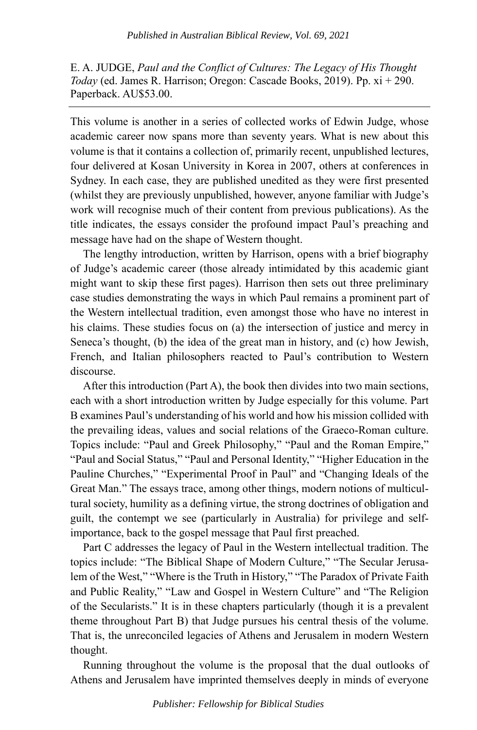E. A. JUDGE, *Paul and the Conflict of Cultures: The Legacy of His Thought Today* (ed. James R. Harrison; Oregon: Cascade Books, 2019). Pp. xi + 290. Paperback. AU\$53.00.

This volume is another in a series of collected works of Edwin Judge, whose academic career now spans more than seventy years. What is new about this volume is that it contains a collection of, primarily recent, unpublished lectures, four delivered at Kosan University in Korea in 2007, others at conferences in Sydney. In each case, they are published unedited as they were first presented (whilst they are previously unpublished, however, anyone familiar with Judge's work will recognise much of their content from previous publications). As the title indicates, the essays consider the profound impact Paul's preaching and message have had on the shape of Western thought.

The lengthy introduction, written by Harrison, opens with a brief biography of Judge's academic career (those already intimidated by this academic giant might want to skip these first pages). Harrison then sets out three preliminary case studies demonstrating the ways in which Paul remains a prominent part of the Western intellectual tradition, even amongst those who have no interest in his claims. These studies focus on (a) the intersection of justice and mercy in Seneca's thought, (b) the idea of the great man in history, and (c) how Jewish, French, and Italian philosophers reacted to Paul's contribution to Western discourse.

After this introduction (Part A), the book then divides into two main sections, each with a short introduction written by Judge especially for this volume. Part B examines Paul's understanding of his world and how his mission collided with the prevailing ideas, values and social relations of the Graeco-Roman culture. Topics include: "Paul and Greek Philosophy," "Paul and the Roman Empire," "Paul and Social Status," "Paul and Personal Identity," "Higher Education in the Pauline Churches," "Experimental Proof in Paul" and "Changing Ideals of the Great Man." The essays trace, among other things, modern notions of multicultural society, humility as a defining virtue, the strong doctrines of obligation and guilt, the contempt we see (particularly in Australia) for privilege and selfimportance, back to the gospel message that Paul first preached.

Part C addresses the legacy of Paul in the Western intellectual tradition. The topics include: "The Biblical Shape of Modern Culture," "The Secular Jerusalem of the West," "Where is the Truth in History," "The Paradox of Private Faith and Public Reality," "Law and Gospel in Western Culture" and "The Religion of the Secularists." It is in these chapters particularly (though it is a prevalent theme throughout Part B) that Judge pursues his central thesis of the volume. That is, the unreconciled legacies of Athens and Jerusalem in modern Western thought.

Running throughout the volume is the proposal that the dual outlooks of Athens and Jerusalem have imprinted themselves deeply in minds of everyone